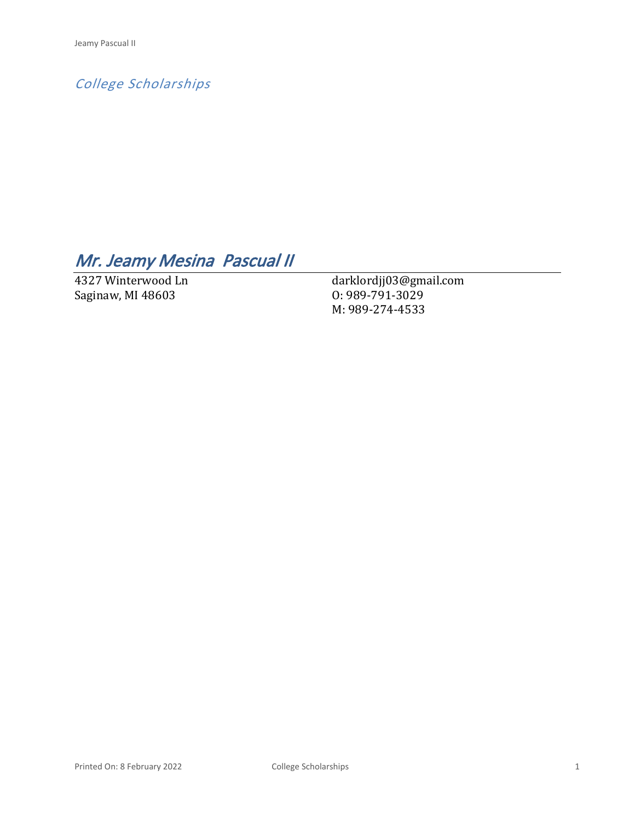*College Scholarships*

# *Mr. Jeamy Mesina Pascual II*

4327 Winterwood Ln Saginaw, MI 48603

darklordjj03@gmail.com O: 989-791-3029 M: 989-274-4533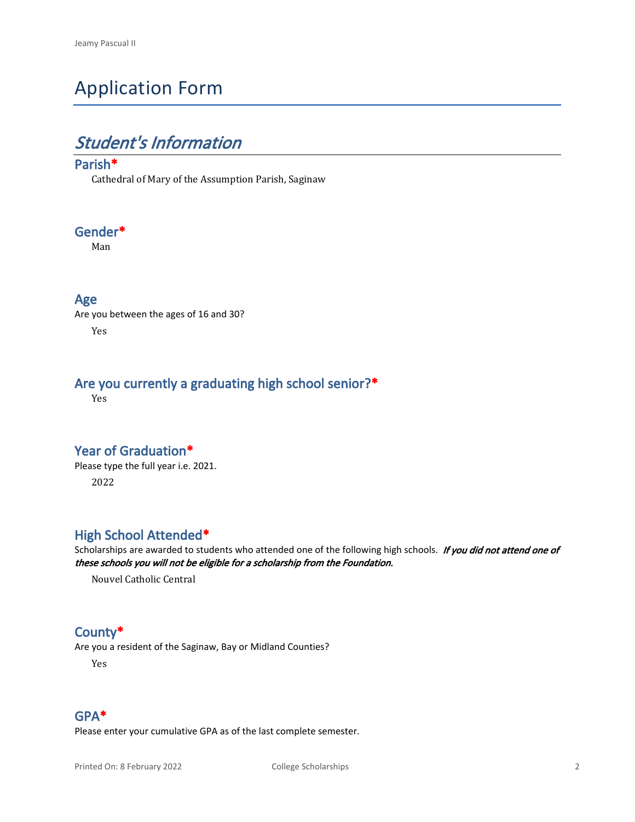# Application Form

## *Student's Information*

### **Parish\***

Cathedral of Mary of the Assumption Parish, Saginaw

### **Gender\***

Man

#### **Age**

Are you between the ages of 16 and 30? Yes

### **Are you currently a graduating high school senior?\***

Yes

### **Year of Graduation\***

Please type the full year i.e. 2021. 2022

### **High School Attended\***

Scholarships are awarded to students who attended one of the following high schools. *If you did not attend one of these schools you will not be eligible for a scholarship from the Foundation.*

Nouvel Catholic Central

### **County\***

Are you a resident of the Saginaw, Bay or Midland Counties?

Yes

#### **GPA\***

Please enter your cumulative GPA as of the last complete semester.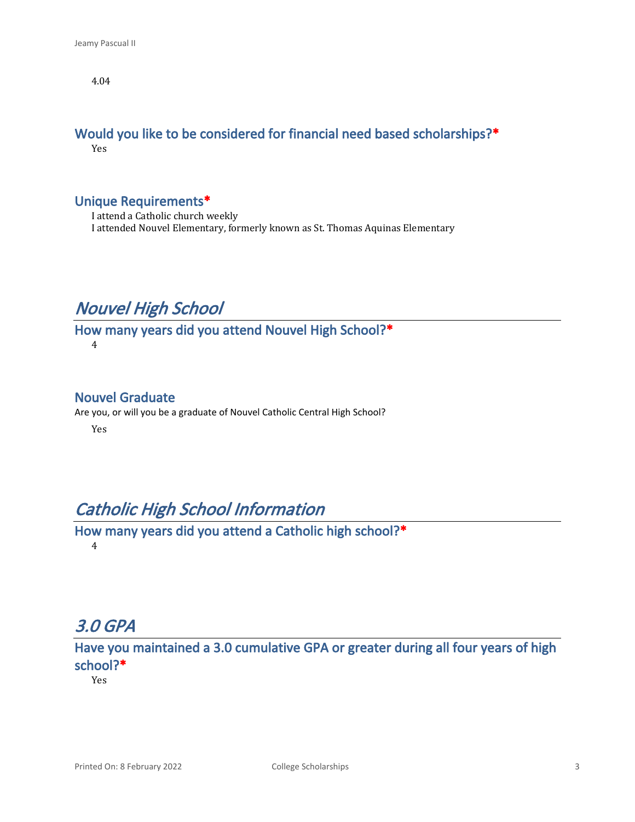4.04

#### **Would you like to be considered for financial need based scholarships?\*** Yes

#### **Unique Requirements\***

I attend a Catholic church weekly I attended Nouvel Elementary, formerly known as St. Thomas Aquinas Elementary

## *Nouvel High School*

**How many years did you attend Nouvel High School?\*** 4

#### **Nouvel Graduate**

Are you, or will you be a graduate of Nouvel Catholic Central High School?

Yes

## *Catholic High School Information*

**How many years did you attend a Catholic high school?\*** 4

## *3.0 GPA*

**Have you maintained a 3.0 cumulative GPA or greater during all four years of high school?\***

Yes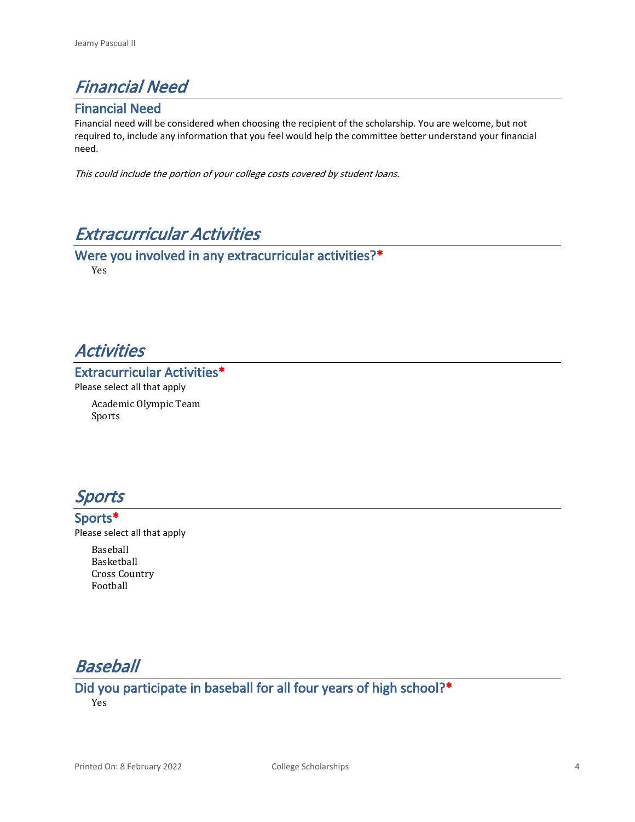## *Financial Need*

### **Financial Need**

Financial need will be considered when choosing the recipient of the scholarship. You are welcome, but not required to, include any information that you feel would help the committee better understand your financial need.

*This could include the portion of your college costs covered by student loans.* 

## *Extracurricular Activities*

**Were you involved in any extracurricular activities?\*** Yes

### *Activities*

#### **Extracurricular Activities\***

Please select all that apply Academic Olympic Team

Sports



**Sports\*** Please select all that apply Baseball

Basketball Cross Country Football

## *Baseball*

**Did you participate in baseball for all four years of high school?\*** Yes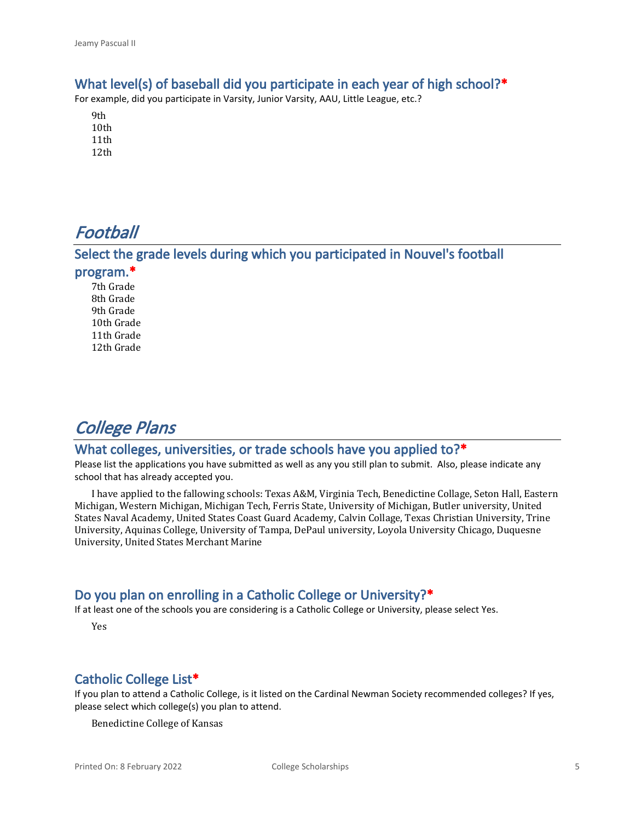#### **What level(s) of baseball did you participate in each year of high school?\***

For example, did you participate in Varsity, Junior Varsity, AAU, Little League, etc.?

- 9th 10th 11th 12th
- *Football*

## **Select the grade levels during which you participated in Nouvel's football**

#### **program.\***

7th Grade 8th Grade 9th Grade 10th Grade 11th Grade 12th Grade

## *College Plans*

### **What colleges, universities, or trade schools have you applied to?\***

Please list the applications you have submitted as well as any you still plan to submit. Also, please indicate any school that has already accepted you.

I have applied to the fallowing schools: Texas A&M, Virginia Tech, Benedictine Collage, Seton Hall, Eastern Michigan, Western Michigan, Michigan Tech, Ferris State, University of Michigan, Butler university, United States Naval Academy, United States Coast Guard Academy, Calvin Collage, Texas Christian University, Trine University, Aquinas College, University of Tampa, DePaul university, Loyola University Chicago, Duquesne University, United States Merchant Marine

#### **Do you plan on enrolling in a Catholic College or University?\***

If at least one of the schools you are considering is a Catholic College or University, please select Yes.

Yes

### **Catholic College List\***

If you plan to attend a Catholic College, is it listed on the Cardinal Newman Society recommended colleges? If yes, please select which college(s) you plan to attend.

Benedictine College of Kansas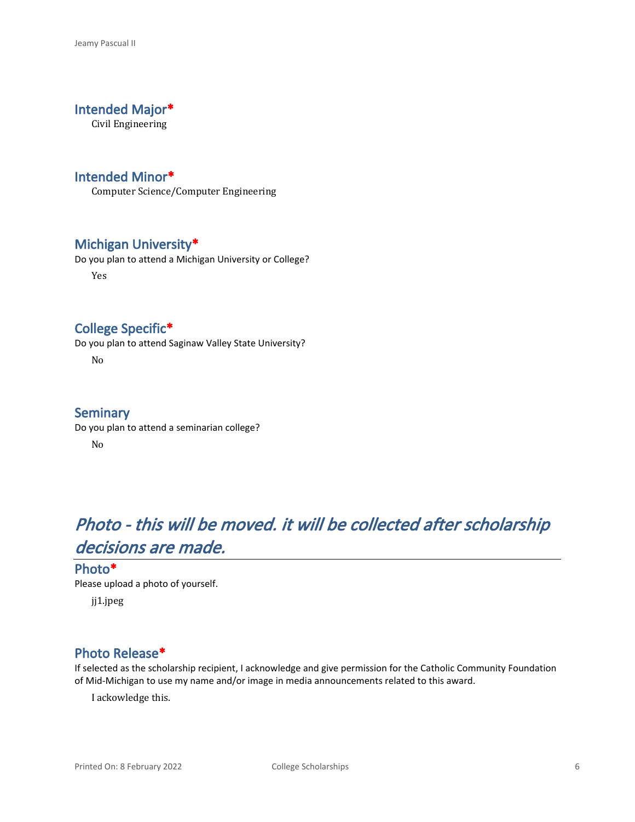### **Intended Major\***

Civil Engineering

#### **Intended Minor\***

Computer Science/Computer Engineering

#### **Michigan University\***

Do you plan to attend a Michigan University or College?

Yes

#### **College Specific\***

Do you plan to attend Saginaw Valley State University?

No

#### **Seminary**

Do you plan to attend a seminarian college? No

# *Photo - this will be moved. it will be collected after scholarship decisions are made.*

#### **Photo\***

Please upload a photo of yourself.

jj1.jpeg

#### **Photo Release\***

If selected as the scholarship recipient, I acknowledge and give permission for the Catholic Community Foundation of Mid-Michigan to use my name and/or image in media announcements related to this award.

I ackowledge this.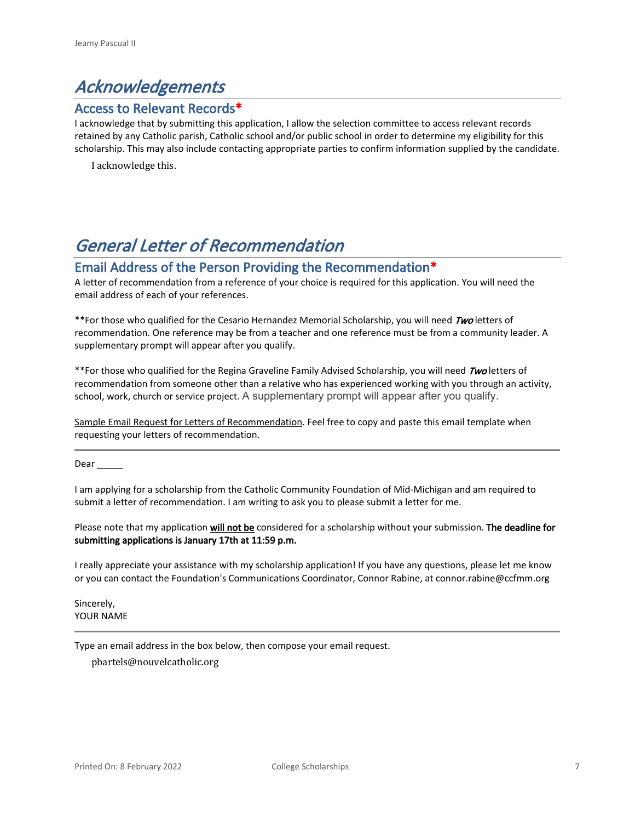## *Acknowledgements*

#### **Access to Relevant Records\***

I acknowledge that by submitting this application, I allow the selection committee to access relevant records retained by any Catholic parish, Catholic school and/or public school in order to determine my eligibility for this scholarship. This may also include contacting appropriate parties to confirm information supplied by the candidate.

I acknowledge this.

## *General Letter of Recommendation*

#### **Email Address of the Person Providing the Recommendation\***

A letter of recommendation from a reference of your choice is required for this application. You will need the email address of each of your references.

\*\*For those who qualified for the Cesario Hernandez Memorial Scholarship, you will need *Two* letters of recommendation. One reference may be from a teacher and one reference must be from a community leader. A supplementary prompt will appear after you qualify.

\*\*For those who qualified for the Regina Graveline Family Advised Scholarship, you will need *Two* letters of recommendation from someone other than a relative who has experienced working with you through an activity, school, work, church or service project. A supplementary prompt will appear after you qualify.

Sample Email Request for Letters of Recommendation. Feel free to copy and paste this email template when requesting your letters of recommendation.

Dear \_\_\_\_\_

I am applying for a scholarship from the Catholic Community Foundation of Mid-Michigan and am required to submit a letter of recommendation. I am writing to ask you to please submit a letter for me.

Please note that my application **will not be** considered for a scholarship without your submission. **The deadline for submitting applications is January 17th at 11:59 p.m.**

I really appreciate your assistance with my scholarship application! If you have any questions, please let me know or you can contact the Foundation's Communications Coordinator, Connor Rabine, at connor.rabine@ccfmm.org

Sincerely, YOUR NAME

Type an email address in the box below, then compose your email request.

pbartels@nouvelcatholic.org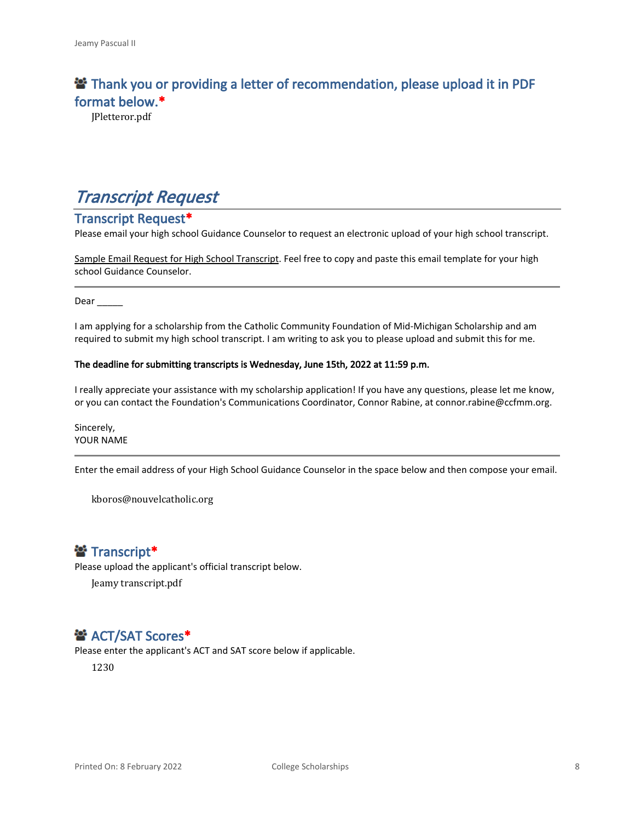### **<sup>2</sup> Thank you or providing a letter of recommendation, please upload it in PDF format below.\***

JPletteror.pdf

## *Transcript Request*

#### **Transcript Request\***

Please email your high school Guidance Counselor to request an electronic upload of your high school transcript.

Sample Email Request for High School Transcript. Feel free to copy and paste this email template for your high school Guidance Counselor.

Dear  $\qquad \qquad$ 

I am applying for a scholarship from the Catholic Community Foundation of Mid-Michigan Scholarship and am required to submit my high school transcript. I am writing to ask you to please upload and submit this for me.

#### **The deadline for submitting transcripts is Wednesday, June 15th, 2022 at 11:59 p.m.**

I really appreciate your assistance with my scholarship application! If you have any questions, please let me know, or you can contact the Foundation's Communications Coordinator, Connor Rabine, at connor.rabine@ccfmm.org.

Sincerely, YOUR NAME

Enter the email address of your High School Guidance Counselor in the space below and then compose your email.

kboros@nouvelcatholic.org

### **普 Transcript\***

Please upload the applicant's official transcript below.

Jeamy transcript.pdf

### $\mathbf{B}^*$  **ACT/SAT Scores\***

Please enter the applicant's ACT and SAT score below if applicable.

1230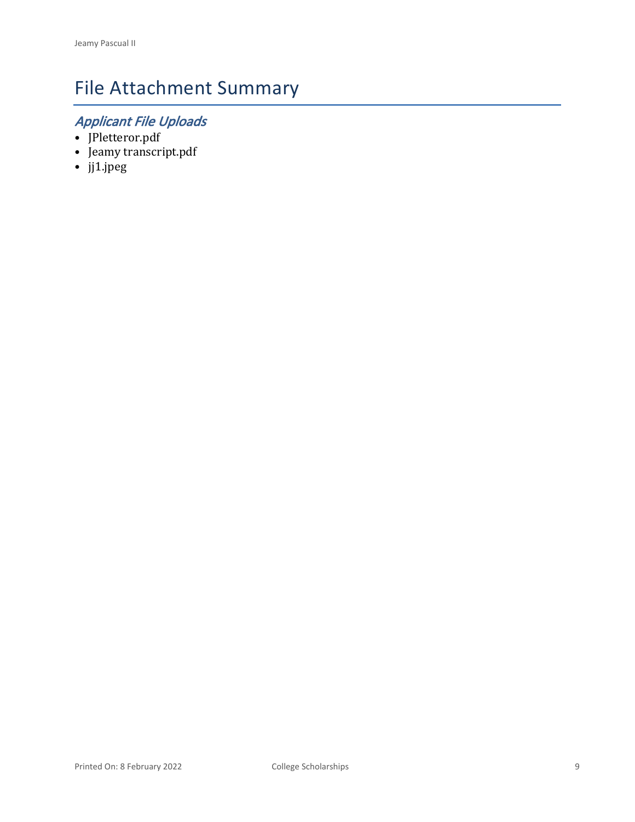# File Attachment Summary

## *Applicant File Uploads*

- JPletteror.pdf
- Jeamy transcript.pdf
- jj1.jpeg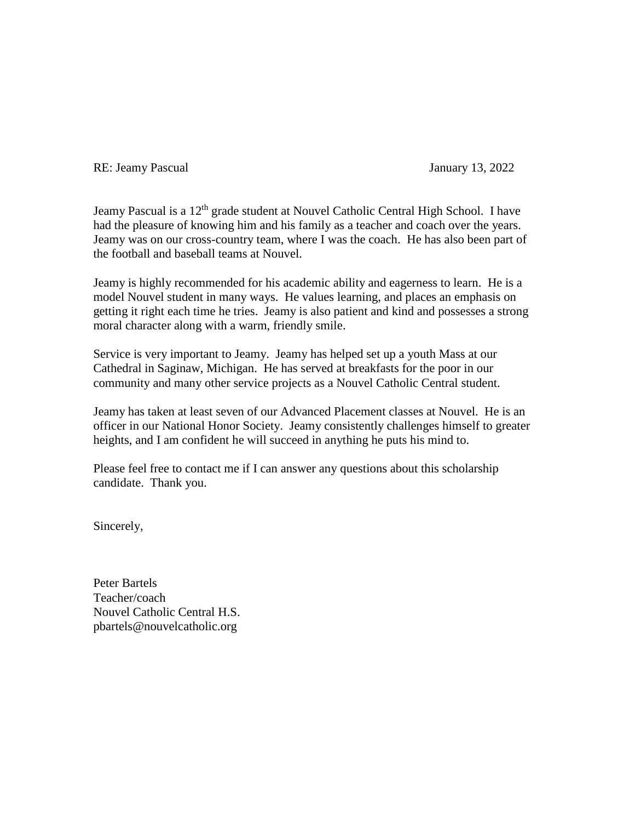RE: Jeamy Pascual January 13, 2022

Jeamy Pascual is a 12<sup>th</sup> grade student at Nouvel Catholic Central High School. I have had the pleasure of knowing him and his family as a teacher and coach over the years. Jeamy was on our cross-country team, where I was the coach. He has also been part of the football and baseball teams at Nouvel.

Jeamy is highly recommended for his academic ability and eagerness to learn. He is a model Nouvel student in many ways. He values learning, and places an emphasis on getting it right each time he tries. Jeamy is also patient and kind and possesses a strong moral character along with a warm, friendly smile.

Service is very important to Jeamy. Jeamy has helped set up a youth Mass at our Cathedral in Saginaw, Michigan. He has served at breakfasts for the poor in our community and many other service projects as a Nouvel Catholic Central student.

Jeamy has taken at least seven of our Advanced Placement classes at Nouvel. He is an officer in our National Honor Society. Jeamy consistently challenges himself to greater heights, and I am confident he will succeed in anything he puts his mind to.

Please feel free to contact me if I can answer any questions about this scholarship candidate. Thank you.

Sincerely,

Peter Bartels Teacher/coach Nouvel Catholic Central H.S. pbartels@nouvelcatholic.org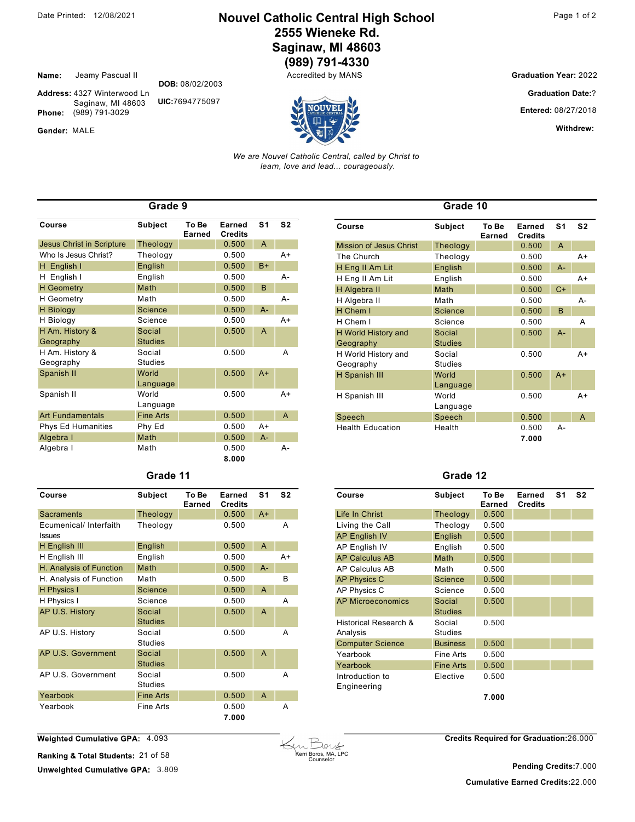#### **Nouvel Catholic Central High School** 2555 Wieneke Rd. Saginaw, MI 48603 (989) 791-4330

Accredited by MANS

Jeamy Pascual II Name:

Address: 4327 Winterwood Ln UIC:7694775097 Saginaw, MI 48603 Phone: (989) 791-3029

Gender: MALE

**Graduation Year: 2022** 

**Graduation Date:?** 

Entered: 08/27/2018

Withdrew:

We are Nouvel Catholic Central, called by Christ to learn, love and lead... courageously.

| Grade 9                          |                  |                 |                          |                |                |  |  |
|----------------------------------|------------------|-----------------|--------------------------|----------------|----------------|--|--|
| Course                           | <b>Subject</b>   | To Be<br>Earned | Earned<br><b>Credits</b> | S <sub>1</sub> | S <sub>2</sub> |  |  |
| <b>Jesus Christ in Scripture</b> | Theology         |                 | 0.500                    | A              |                |  |  |
| Who Is Jesus Christ?             | Theology         |                 | 0.500                    |                | $A+$           |  |  |
| H English I                      | English          |                 | 0.500                    | $B+$           |                |  |  |
| English I<br>н                   | English          |                 | 0.500                    |                | А-             |  |  |
| <b>H</b> Geometry                | Math             |                 | 0.500                    | B              |                |  |  |
| <b>H</b> Geometry                | Math             |                 | 0.500                    |                | А-             |  |  |
| <b>H</b> Biology                 | Science          |                 | 0.500                    | $A -$          |                |  |  |
| H Biology                        | Science          |                 | 0.500                    |                | $A+$           |  |  |
| H Am. History &                  | Social           |                 | 0.500                    | A              |                |  |  |
| Geography                        | <b>Studies</b>   |                 |                          |                |                |  |  |
| H Am. History &                  | Social           |                 | 0.500                    |                | A              |  |  |
| Geography                        | Studies          |                 |                          |                |                |  |  |
| Spanish II                       | World            |                 | 0.500                    | $A+$           |                |  |  |
|                                  | Language         |                 |                          |                |                |  |  |
| Spanish II                       | World            |                 | 0.500                    |                | $A+$           |  |  |
|                                  | Language         |                 |                          |                |                |  |  |
| <b>Art Fundamentals</b>          | <b>Fine Arts</b> |                 | 0.500                    |                | A              |  |  |
| <b>Phys Ed Humanities</b>        | Phy Ed           |                 | 0.500                    | A+             |                |  |  |
| Algebra I                        | Math             |                 | 0.500                    | $A -$          |                |  |  |
| Algebra I                        | Math             |                 | 0.500                    |                | А-             |  |  |
|                                  |                  |                 | 8.000                    |                |                |  |  |

DOB: 08/02/2003

| Grade |  |
|-------|--|
|-------|--|

| Course                                  | <b>Subject</b>           | To Be<br>Earned | Earned<br><b>Credits</b> | S <sub>1</sub> | S <sub>2</sub> |
|-----------------------------------------|--------------------------|-----------------|--------------------------|----------------|----------------|
| <b>Sacraments</b>                       | Theology                 |                 | 0.500                    | $A+$           |                |
| Ecumenical/ Interfaith<br><b>Issues</b> | Theology                 |                 | 0.500                    |                | А              |
| H English III                           | English                  |                 | 0.500                    | $\overline{A}$ |                |
| H English III                           | English                  |                 | 0.500                    |                | $A+$           |
| H. Analysis of Function                 | Math                     |                 | 0.500                    | $A -$          |                |
| H. Analysis of Function                 | Math                     |                 | 0.500                    |                | B              |
| H Physics I                             | <b>Science</b>           |                 | 0.500                    | A              |                |
| H Physics I                             | Science                  |                 | 0.500                    |                | A              |
| AP U.S. History                         | Social<br><b>Studies</b> |                 | 0.500                    | A              |                |
| AP U.S. History                         | Social<br><b>Studies</b> |                 | 0.500                    |                | А              |
| AP U.S. Government                      | Social<br><b>Studies</b> |                 | 0.500                    | A              |                |
| AP U.S. Government                      | Social<br><b>Studies</b> |                 | 0.500                    |                | A              |
| Yearbook                                | <b>Fine Arts</b>         |                 | 0.500                    | A              |                |
| Yearbook                                | Fine Arts                |                 | 0.500<br>7.000           |                | А              |

| Course                           | <b>Subject</b>           | To Be<br>Earned | Earned<br><b>Credits</b> | S <sub>1</sub> | S <sub>2</sub> |
|----------------------------------|--------------------------|-----------------|--------------------------|----------------|----------------|
| <b>Mission of Jesus Christ</b>   | Theology                 |                 | 0.500                    | A              |                |
| The Church                       | Theology                 |                 | 0.500                    |                | A+             |
| H Eng II Am Lit                  | English                  |                 | 0.500                    | $A -$          |                |
| H Eng II Am Lit                  | English                  |                 | 0.500                    |                | $A+$           |
| H Algebra II                     | Math                     |                 | 0.500                    | $C+$           |                |
| H Algebra II                     | Math                     |                 | 0.500                    |                | А-             |
| H Chem I                         | Science                  |                 | 0.500                    | B              |                |
| H Chem I                         | Science                  |                 | 0.500                    |                | A              |
| H World History and<br>Geography | Social<br><b>Studies</b> |                 | 0.500                    | $A -$          |                |
| H World History and<br>Geography | Social<br><b>Studies</b> |                 | 0.500                    |                | $A+$           |
| H Spanish III                    | World<br>Language        |                 | 0.500                    | $A+$           |                |
| H Spanish III                    | World<br>Language        |                 | 0.500                    |                | $A+$           |
| Speech                           | Speech                   |                 | 0.500                    |                | A              |
| <b>Health Education</b>          | Health                   |                 | 0.500<br>7.000           | А-             |                |

Grade 10

#### Grade 12

| Course                            | <b>Subject</b>           | To Be<br>Earned | Earned<br><b>Credits</b> | S <sub>1</sub> | S <sub>2</sub> |
|-----------------------------------|--------------------------|-----------------|--------------------------|----------------|----------------|
| Life In Christ                    | Theology                 | 0.500           |                          |                |                |
| Living the Call                   | Theology                 | 0.500           |                          |                |                |
| <b>AP English IV</b>              | English                  | 0.500           |                          |                |                |
| AP English IV                     | English                  | 0.500           |                          |                |                |
| <b>AP Calculus AB</b>             | Math                     | 0.500           |                          |                |                |
| AP Calculus AB                    | Math                     | 0.500           |                          |                |                |
| <b>AP Physics C</b>               | Science                  | 0.500           |                          |                |                |
| AP Physics C                      | Science                  | 0.500           |                          |                |                |
| <b>AP Microeconomics</b>          | Social<br><b>Studies</b> | 0.500           |                          |                |                |
| Historical Research &<br>Analysis | Social<br><b>Studies</b> | 0.500           |                          |                |                |
| <b>Computer Science</b>           | <b>Business</b>          | 0.500           |                          |                |                |
| Yearbook                          | Fine Arts                | 0.500           |                          |                |                |
| Yearbook                          | <b>Fine Arts</b>         | 0.500           |                          |                |                |
| Introduction to<br>Engineering    | Elective                 | 0.500           |                          |                |                |
|                                   |                          | 7.000           |                          |                |                |

Weighted Cumulative GPA: 4.093

Ranking & Total Students: 21 of 58 Unweighted Cumulative GPA: 3.809



**Credits Required for Graduation:26.000** 

Pending Credits:7.000 **Cumulative Earned Credits:22.000**